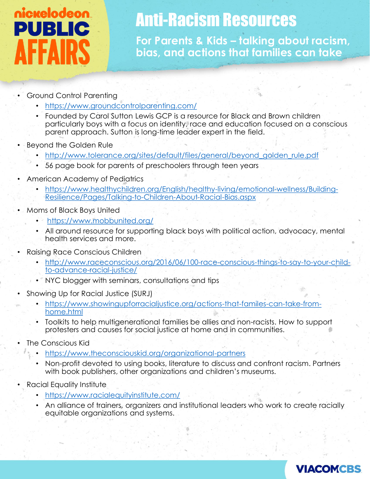## nickelodeon PUBLIC **FFAIR**

## Anti-Racism Resources

**For Parents & Kids – talking about racism, bias, and actions that families can take**

- Ground Control Parenting
	- <https://www.groundcontrolparenting.com/>
	- Founded by Carol Sutton Lewis GCP is a resource for Black and Brown children particularly boys with a focus on identity, race and education focused on a conscious parent approach. Sutton is long-time leader expert in the field.
- Beyond the Golden Rule
	- [http://www.tolerance.org/sites/default/files/general/beyond\\_golden\\_rule.pdf](http://www.tolerance.org/sites/default/files/general/beyond_golden_rule.pdf)
	- 56 page book for parents of preschoolers through teen years
- American Academy of Pediatrics
	- [https://www.healthychildren.org/English/healthy-living/emotional-wellness/Building-](https://www.healthychildren.org/English/healthy-living/emotional-wellness/Building-Resilience/Pages/Talking-to-Children-About-Racial-Bias.aspx)Resilience/Pages/Talking-to-Children-About-Racial-Bias.aspx
- Moms of Black Boys United
	- <https://www.mobbunited.org/>
	- All around resource for supporting black boys with political action, advocacy, mental health services and more.
- Raising Race Conscious Children
	- [http://www.raceconscious.org/2016/06/100-race-conscious-things-to-say-to-your-child](http://www.raceconscious.org/2016/06/100-race-conscious-things-to-say-to-your-child-to-advance-racial-justice/)to-advance-racial-justice/
	- NYC blogger with seminars, consultations and tips
- Showing Up for Racial Justice (SURJ)
	- [https://www.showingupforracialjustice.org/actions-that-familes-can-take-from](https://www.showingupforracialjustice.org/actions-that-familes-can-take-from-home.html)home.html
	- Toolkits to help multigenerational families be allies and non-racists. How to support protesters and causes for social justice at home and in communities.
- The Conscious Kid
	- <https://www.theconsciouskid.org/organizational-partners>
	- Non-profit devoted to using books, literature to discuss and confront racism. Partners with book publishers, other organizations and children's museums.
- Racial Equality Institute
	- <https://www.racialequityinstitute.com/>
	- An alliance of trainers, organizers and institutional leaders who work to create racially equitable organizations and systems.